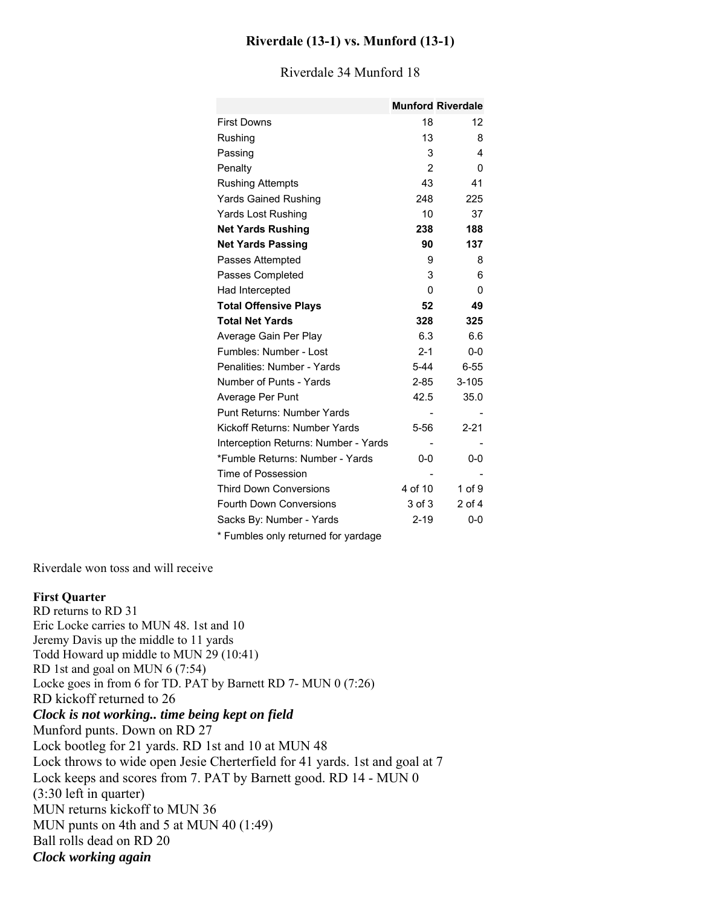### **Riverdale (13-1) vs. Munford (13-1)**

|                                      |                | <b>Munford Riverdale</b> |
|--------------------------------------|----------------|--------------------------|
| <b>First Downs</b>                   | 18             | 12                       |
| Rushing                              | 13             | 8                        |
| Passing                              | 3              | 4                        |
| Penalty                              | $\mathfrak{p}$ | 0                        |
| <b>Rushing Attempts</b>              | 43             | 41                       |
| <b>Yards Gained Rushing</b>          | 248            | 225                      |
| Yards Lost Rushing                   | 10             | 37                       |
| <b>Net Yards Rushing</b>             | 238            | 188                      |
| <b>Net Yards Passing</b>             | 90             | 137                      |
| Passes Attempted                     | 9              | 8                        |
| Passes Completed                     | 3              | 6                        |
| Had Intercepted                      | 0              | 0                        |
| <b>Total Offensive Plays</b>         | 52             | 49                       |
| <b>Total Net Yards</b>               | 328            | 325                      |
| Average Gain Per Play                | 6.3            | 6.6                      |
| Fumbles: Number - Lost               | $2 - 1$        | $0 - 0$                  |
| Penalities: Number - Yards           | $5-44$         | $6 - 55$                 |
| Number of Punts - Yards              | $2 - 85$       | $3 - 105$                |
| Average Per Punt                     | 42.5           | 35.0                     |
| Punt Returns: Number Yards           |                |                          |
| Kickoff Returns: Number Yards        | $5-56$         | $2 - 21$                 |
| Interception Returns: Number - Yards |                |                          |
| *Fumble Returns: Number - Yards      | $0 - 0$        | 0-0                      |
| Time of Possession                   |                |                          |
| <b>Third Down Conversions</b>        | 4 of 10        | 1 of 9                   |
| <b>Fourth Down Conversions</b>       | 3 of 3         | $2$ of $4$               |
| Sacks By: Number - Yards             | $2 - 19$       | $0 - 0$                  |
|                                      |                |                          |

#### Riverdale 34 Munford 18

\* Fumbles only returned for yardage

Riverdale won toss and will receive

#### **First Quarter**

RD returns to RD 31 Eric Locke carries to MUN 48. 1st and 10 Jeremy Davis up the middle to 11 yards Todd Howard up middle to MUN 29 (10:41) RD 1st and goal on MUN 6 (7:54) Locke goes in from 6 for TD. PAT by Barnett RD 7- MUN 0 (7:26) RD kickoff returned to 26 *Clock is not working.. time being kept on field* Munford punts. Down on RD 27 Lock bootleg for 21 yards. RD 1st and 10 at MUN 48 Lock throws to wide open Jesie Cherterfield for 41 yards. 1st and goal at 7 Lock keeps and scores from 7. PAT by Barnett good. RD 14 - MUN 0 (3:30 left in quarter) MUN returns kickoff to MUN 36 MUN punts on 4th and 5 at MUN 40 (1:49) Ball rolls dead on RD 20 *Clock working again*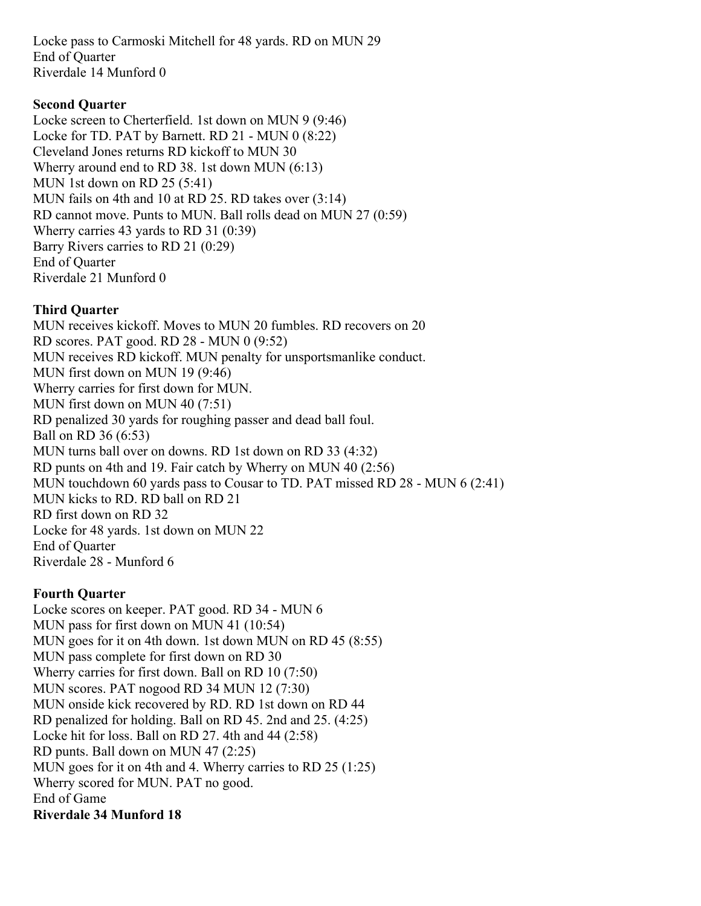Locke pass to Carmoski Mitchell for 48 yards. RD on MUN 29 End of Quarter Riverdale 14 Munford 0

# **Second Quarter**

Locke screen to Cherterfield. 1st down on MUN 9 (9:46) Locke for TD. PAT by Barnett. RD 21 - MUN 0 (8:22) Cleveland Jones returns RD kickoff to MUN 30 Wherry around end to RD 38. 1st down MUN (6:13) MUN 1st down on RD 25 (5:41) MUN fails on 4th and 10 at RD 25. RD takes over (3:14) RD cannot move. Punts to MUN. Ball rolls dead on MUN 27 (0:59) Wherry carries 43 yards to RD 31 (0:39) Barry Rivers carries to RD 21 (0:29) End of Quarter Riverdale 21 Munford 0

# **Third Quarter**

MUN receives kickoff. Moves to MUN 20 fumbles. RD recovers on 20 RD scores. PAT good. RD 28 - MUN 0 (9:52) MUN receives RD kickoff. MUN penalty for unsportsmanlike conduct. MUN first down on MUN 19 (9:46) Wherry carries for first down for MUN. MUN first down on MUN 40 (7:51) RD penalized 30 yards for roughing passer and dead ball foul. Ball on RD 36 (6:53) MUN turns ball over on downs. RD 1st down on RD 33 (4:32) RD punts on 4th and 19. Fair catch by Wherry on MUN 40 (2:56) MUN touchdown 60 yards pass to Cousar to TD. PAT missed RD 28 - MUN 6 (2:41) MUN kicks to RD. RD ball on RD 21 RD first down on RD 32 Locke for 48 yards. 1st down on MUN 22 End of Quarter Riverdale 28 - Munford 6

# **Fourth Quarter**

Locke scores on keeper. PAT good. RD 34 - MUN 6 MUN pass for first down on MUN 41 (10:54) MUN goes for it on 4th down. 1st down MUN on RD 45 (8:55) MUN pass complete for first down on RD 30 Wherry carries for first down. Ball on RD 10 (7:50) MUN scores. PAT nogood RD 34 MUN 12 (7:30) MUN onside kick recovered by RD. RD 1st down on RD 44 RD penalized for holding. Ball on RD 45. 2nd and 25. (4:25) Locke hit for loss. Ball on RD 27. 4th and 44 (2:58) RD punts. Ball down on MUN 47 (2:25) MUN goes for it on 4th and 4. Wherry carries to RD 25 (1:25) Wherry scored for MUN. PAT no good. End of Game **Riverdale 34 Munford 18**